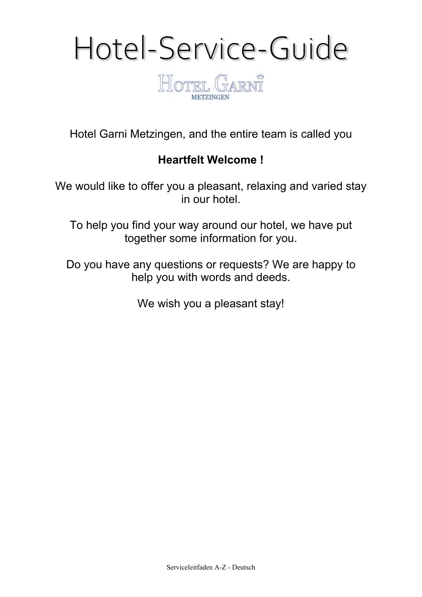

Hotel Garni Metzingen, and the entire team is called you

# **Heartfelt Welcome !**

We would like to offer you a pleasant, relaxing and varied stay in our hotel.

To help you find your way around our hotel, we have put together some information for you.

Do you have any questions or requests? We are happy to help you with words and deeds.

We wish you a pleasant stay!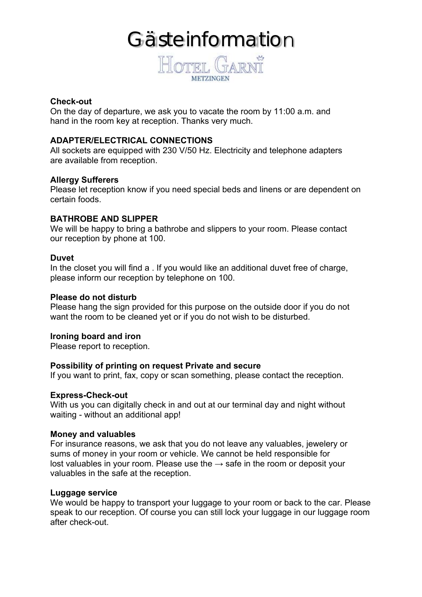# **Gästeinformation**



# **Check-out**

On the day of departure, we ask you to vacate the room by 11:00 a.m. and hand in the room key at reception. Thanks very much.

#### **ADAPTER/ELECTRICAL CONNECTIONS**

All sockets are equipped with 230 V/50 Hz. Electricity and telephone adapters are available from reception.

#### **Allergy Sufferers**

Please let reception know if you need special beds and linens or are dependent on certain foods.

# **BATHROBE AND SLIPPER**

We will be happy to bring a bathrobe and slippers to your room. Please contact our reception by phone at 100.

#### **Duvet**

In the closet you will find a . If you would like an additional duvet free of charge, please inform our reception by telephone on 100.

#### **Please do not disturb**

Please hang the sign provided for this purpose on the outside door if you do not want the room to be cleaned yet or if you do not wish to be disturbed.

#### **Ironing board and iron**

Please report to reception.

# **Possibility of printing on request Private and secure**

If you want to print, fax, copy or scan something, please contact the reception.

#### **Express-Check-out**

With us you can digitally check in and out at our terminal day and night without waiting - without an additional app!

#### **Money and valuables**

For insurance reasons, we ask that you do not leave any valuables, jewelery or sums of money in your room or vehicle. We cannot be held responsible for lost valuables in your room. Please use the  $\rightarrow$  safe in the room or deposit your valuables in the safe at the reception.

#### **Luggage service**

We would be happy to transport your luggage to your room or back to the car. Please speak to our reception. Of course you can still lock your luggage in our luggage room after check-out.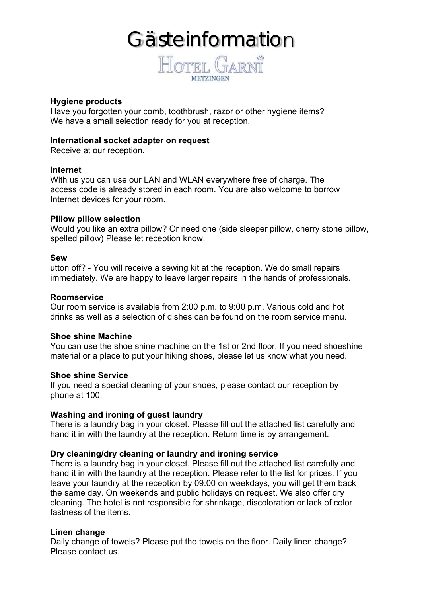# Gästeinformation



### **Hygiene products**

Have you forgotten your comb, toothbrush, razor or other hygiene items? We have a small selection ready for you at reception.

#### **International socket adapter on request**

Receive at our reception.

#### **Internet**

With us you can use our LAN and WLAN everywhere free of charge. The access code is already stored in each room. You are also welcome to borrow Internet devices for your room.

#### **Pillow pillow selection**

Would you like an extra pillow? Or need one (side sleeper pillow, cherry stone pillow, spelled pillow) Please let reception know.

#### **Sew**

utton off? - You will receive a sewing kit at the reception. We do small repairs immediately. We are happy to leave larger repairs in the hands of professionals.

### **Roomservice**

Our room service is available from 2:00 p.m. to 9:00 p.m. Various cold and hot drinks as well as a selection of dishes can be found on the room service menu.

#### **Shoe shine Machine**

You can use the shoe shine machine on the 1st or 2nd floor. If you need shoeshine material or a place to put your hiking shoes, please let us know what you need.

# **Shoe shine Service**

If you need a special cleaning of your shoes, please contact our reception by phone at 100.

# **Washing and ironing of guest laundry**

There is a laundry bag in your closet. Please fill out the attached list carefully and hand it in with the laundry at the reception. Return time is by arrangement.

# **Dry cleaning/dry cleaning or laundry and ironing service**

There is a laundry bag in your closet. Please fill out the attached list carefully and hand it in with the laundry at the reception. Please refer to the list for prices. If you leave your laundry at the reception by 09:00 on weekdays, you will get them back the same day. On weekends and public holidays on request. We also offer dry cleaning. The hotel is not responsible for shrinkage, discoloration or lack of color fastness of the items.

# **Linen change**

Daily change of towels? Please put the towels on the floor. Daily linen change? Please contact us.